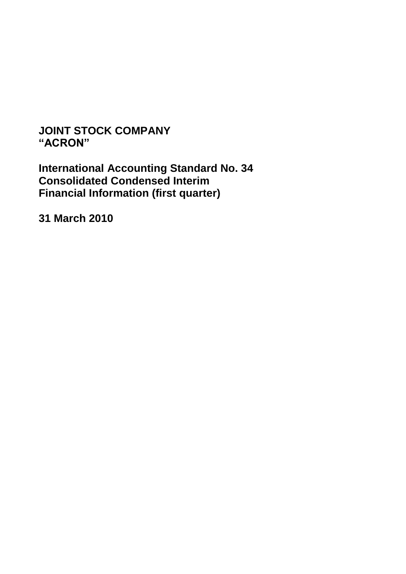# **JOINT STOCK COMPANY "ACRON"**

**International Accounting Standard No. 34 Consolidated Condensed Interim Financial Information (first quarter)**

**31 March 2010**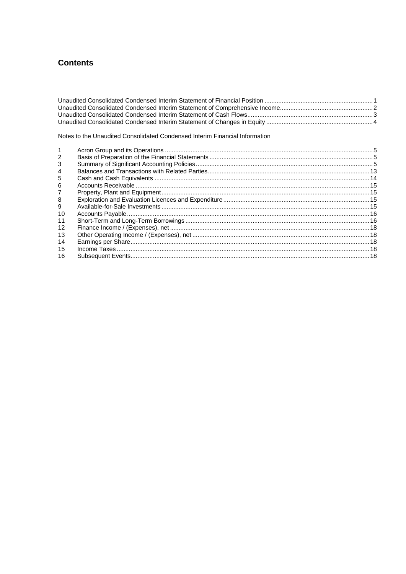## **Contents**

Notes to the Unaudited Consolidated Condensed Interim Financial Information

| 2  |  |
|----|--|
| 3  |  |
| 4  |  |
| 5  |  |
| 6  |  |
| 7  |  |
| 8  |  |
| 9  |  |
| 10 |  |
| 11 |  |
| 12 |  |
| 13 |  |
| 14 |  |
| 15 |  |
| 16 |  |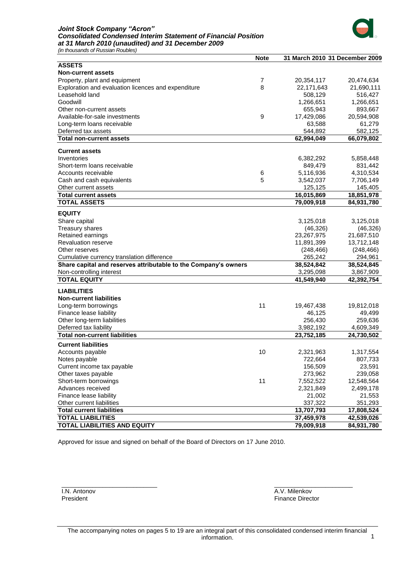#### *Joint Stock Company "Acron" Consolidated Condensed Interim Statement of Financial Position at 31 March 2010 (unaudited) and 31 December 2009*



*(in thousands of Russian Roubles)*

|                                                                 | <b>Note</b> | 31 March 2010 31 December 2009 |            |
|-----------------------------------------------------------------|-------------|--------------------------------|------------|
| <b>ASSETS</b>                                                   |             |                                |            |
| <b>Non-current assets</b>                                       |             |                                |            |
| Property, plant and equipment                                   | 7           | 20,354,117                     | 20,474,634 |
| Exploration and evaluation licences and expenditure             | 8           | 22,171,643                     | 21,690,111 |
| Leasehold land                                                  |             | 508,129                        | 516,427    |
| Goodwill                                                        |             | 1,266,651                      | 1,266,651  |
| Other non-current assets                                        |             | 655,943                        | 893,667    |
| Available-for-sale investments                                  | 9           | 17,429,086                     | 20,594,908 |
| Long-term loans receivable                                      |             | 63,588                         | 61,279     |
| Deferred tax assets                                             |             | 544,892                        | 582,125    |
| <b>Total non-current assets</b>                                 |             | 62,994,049                     | 66,079,802 |
| <b>Current assets</b>                                           |             |                                |            |
|                                                                 |             |                                |            |
| Inventories                                                     |             | 6,382,292                      | 5,858,448  |
| Short-term loans receivable                                     |             | 849,479                        | 831,442    |
| Accounts receivable                                             | 6           | 5,116,936                      | 4,310,534  |
| Cash and cash equivalents                                       | 5           | 3,542,037                      | 7,706,149  |
| Other current assets                                            |             | 125,125                        | 145,405    |
| <b>Total current assets</b>                                     |             | 16,015,869                     | 18,851,978 |
| <b>TOTAL ASSETS</b>                                             |             | 79,009,918                     | 84,931,780 |
| <b>EQUITY</b>                                                   |             |                                |            |
| Share capital                                                   |             | 3,125,018                      | 3,125,018  |
| Treasury shares                                                 |             | (46, 326)                      | (46, 326)  |
| Retained earnings                                               |             | 23,267,975                     | 21,687,510 |
| <b>Revaluation reserve</b>                                      |             | 11,891,399                     | 13,712,148 |
| Other reserves                                                  |             | (248, 466)                     | (248, 466) |
| Cumulative currency translation difference                      |             | 265,242                        | 294,961    |
| Share capital and reserves attributable to the Company's owners |             | 38,524,842                     | 38,524,845 |
| Non-controlling interest                                        |             | 3,295,098                      | 3,867,909  |
| <b>TOTAL EQUITY</b>                                             |             | 41,549,940                     | 42,392,754 |
| <b>LIABILITIES</b>                                              |             |                                |            |
| <b>Non-current liabilities</b>                                  |             |                                |            |
| Long-term borrowings                                            | 11          | 19,467,438                     | 19,812,018 |
| Finance lease liability                                         |             | 46,125                         | 49,499     |
| Other long-term liabilities                                     |             | 256,430                        | 259,636    |
| Deferred tax liability                                          |             | 3,982,192                      | 4,609,349  |
| <b>Total non-current liabilities</b>                            |             | 23,752,185                     | 24,730,502 |
|                                                                 |             |                                |            |
| <b>Current liabilities</b>                                      |             |                                |            |
| Accounts payable                                                | 10          | 2,321,963                      | 1,317,554  |
| Notes payable                                                   |             | 722,664                        | 807,733    |
| Current income tax payable                                      |             | 156,509                        | 23,591     |
| Other taxes payable                                             |             | 273,962                        | 239,058    |
| Short-term borrowings                                           | 11          | 7,552,522                      | 12,548,564 |
| Advances received                                               |             | 2,321,849                      | 2,499,178  |
| Finance lease liability                                         |             | 21,002                         | 21,553     |
| Other current liabilities                                       |             | 337,322                        | 351,293    |
| <b>Total current liabilities</b>                                |             | 13,707,793                     | 17,808,524 |
| <b>TOTAL LIABILITIES</b>                                        |             | 37,459,978                     | 42,539,026 |
| <b>TOTAL LIABILITIES AND EQUITY</b>                             |             | 79,009,918                     | 84,931,780 |

Approved for issue and signed on behalf of the Board of Directors on 17 June 2010.

I.N. Antonov President

\_\_\_\_\_\_\_\_\_\_\_\_\_\_\_\_\_\_\_\_\_\_\_\_\_\_\_\_

A.V. Milenkov Finance Director

\_\_\_\_\_\_\_\_\_\_\_\_\_\_\_\_\_\_\_\_\_\_\_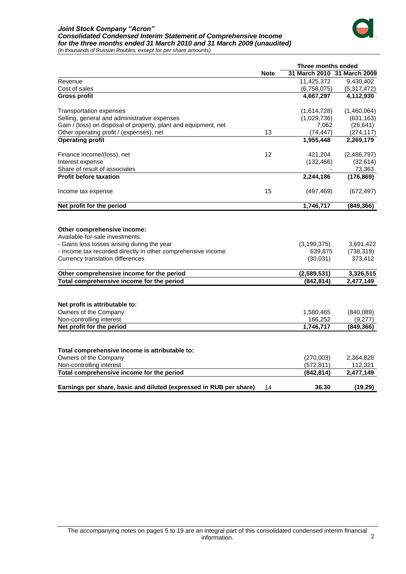## *Joint Stock Company "Acron" Consolidated Condensed Interim Statement of Comprehensive Income for the three months ended 31 March 2010 and 31 March 2009 (unaudited)*



*(in thousands of Russian Roubles, except for per share amounts)*

|                                                                    |             | Three months ended          |             |  |
|--------------------------------------------------------------------|-------------|-----------------------------|-------------|--|
|                                                                    | <b>Note</b> | 31 March 2010 31 March 2009 |             |  |
| Revenue                                                            |             | 11,425,372                  | 9,430,402   |  |
| Cost of sales                                                      |             | (6,758,075)                 | (5,317,472) |  |
| <b>Gross profit</b>                                                |             | 4,667,297                   | 4,112,930   |  |
| <b>Transportation expenses</b>                                     |             | (1,614,728)                 | (1,460,064) |  |
| Selling, general and administrative expenses                       |             | (1,029,736)                 | (631, 163)  |  |
| Gain / (loss) on disposal of property, plant and equipment, net    |             | 7,062                       | (26, 641)   |  |
| Other operating profit / (expenses), net                           | 13          | (74, 447)                   | (274, 117)  |  |
| <b>Operating profit</b>                                            |             | 1,955,448                   | 2,269,179   |  |
| Finance income/(loss), net                                         | 12          | 421,204                     | (2,486,797) |  |
| Interest expense                                                   |             | (132, 466)                  | (32, 614)   |  |
| Share of result of associates                                      |             |                             | 73,363      |  |
| <b>Profit before taxation</b>                                      |             | 2,244,186                   | (176, 869)  |  |
| Income tax expense                                                 | 15          | (497, 469)                  | (672, 497)  |  |
| Net profit for the period                                          |             | 1,746,717                   | (849, 366)  |  |
| Other comprehensive income:<br>Available-for-sale investments:     |             |                             |             |  |
| - Gains less losses arising during the year                        |             | (3, 199, 375)               | 3,691,422   |  |
| - Income tax recorded directly in other comprehensive income       |             | 639,875                     | (738, 319)  |  |
| Currency translation differences                                   |             | (30,031)                    | 373,412     |  |
| Other comprehensive income for the period                          |             | (2,589,531)                 | 3,326,515   |  |
| Total comprehensive income for the period                          |             | (842, 814)                  | 2,477,149   |  |
|                                                                    |             |                             |             |  |
| Net profit is attributable to:                                     |             |                             |             |  |
| Owners of the Company                                              |             | 1,580,465                   | (840,089)   |  |
| Non-controlling interest                                           |             | 166,252                     | (9,277)     |  |
| Net profit for the period                                          |             | 1,746,717                   | (849, 366)  |  |
|                                                                    |             |                             |             |  |
| Total comprehensive income is attributable to:                     |             |                             |             |  |
| Owners of the Company                                              |             | (270,003)                   | 2,364,828   |  |
| Non-controlling interest                                           |             | (572, 811)                  | 112,321     |  |
| Total comprehensive income for the period                          |             | (842, 814)                  | 2,477,149   |  |
| Earnings per share, basic and diluted (expressed in RUB per share) | 14          | 36.30                       | (19.29)     |  |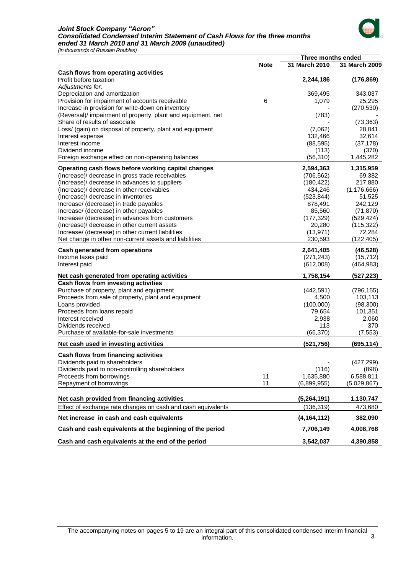#### *Joint Stock Company "Acron" Consolidated Condensed Interim Statement of Cash Flows for the three months ended 31 March 2010 and 31 March 2009 (unaudited)*



*(in thousands of Russian Roubles)*

|                                                              |             | Three months ended |               |
|--------------------------------------------------------------|-------------|--------------------|---------------|
|                                                              | <b>Note</b> | 31 March 2010      | 31 March 2009 |
| Cash flows from operating activities                         |             |                    |               |
| Profit before taxation                                       |             | 2,244,186          | (176, 869)    |
| Adjustments for:                                             |             |                    |               |
| Depreciation and amortization                                |             | 369,495            | 343,037       |
| Provision for impairment of accounts receivable              | 6           | 1,079              | 25,295        |
| Increase in provision for write-down on inventory            |             |                    | (270, 530)    |
| (Reversal)/ impairment of property, plant and equipment, net |             | (783)              |               |
| Share of results of associate                                |             |                    | (73, 363)     |
| Loss/ (gain) on disposal of property, plant and equipment    |             | (7,062)            | 28,041        |
| Interest expense                                             |             | 132,466            | 32,614        |
| Interest income                                              |             | (88, 595)          | (37, 178)     |
| Dividend income                                              |             | (113)              | (370)         |
| Foreign exchange effect on non-operating balances            |             | (56, 310)          | 1,445,282     |
|                                                              |             | 2,594,363          | 1,315,959     |
| Operating cash flows before working capital changes          |             |                    |               |
| (Increase)/ decrease in gross trade receivables              |             | (706, 562)         | 69,382        |
| (Increase)/ decrease in advances to suppliers                |             | (180, 422)         | 217,880       |
| (Increase)/ decrease in other receivables                    |             | 434,246            | (1, 176, 666) |
| (Increase)/ decrease in inventories                          |             | (523, 844)         | 51,525        |
| Increase/ (decrease) in trade payables                       |             | 878,491            | 242,129       |
| Increase/ (decrease) in other payables                       |             | 85,560             | (71, 870)     |
| Increase/ (decrease) in advances from customers              |             | (177, 329)         | (529, 424)    |
| (Increase)/ decrease in other current assets                 |             | 20,280             | (115, 322)    |
| Increase/ (decrease) in other current liabilities            |             | (13, 971)          | 72,284        |
| Net change in other non-current assets and liabilities       |             | 230,593            | (122, 405)    |
| Cash generated from operations                               |             | 2,641,405          | (46, 528)     |
| Income taxes paid                                            |             | (271, 243)         | (15, 712)     |
| Interest paid                                                |             | (612,008)          | (464, 983)    |
| Net cash generated from operating activities                 |             | 1,758,154          | (527, 223)    |
| Cash flows from investing activities                         |             |                    |               |
| Purchase of property, plant and equipment                    |             | (442, 591)         | (796, 155)    |
| Proceeds from sale of property, plant and equipment          |             | 4,500              | 103,113       |
| Loans provided                                               |             | (100,000)          | (98, 300)     |
| Proceeds from loans repaid                                   |             | 79,654             | 101,351       |
| Interest received                                            |             | 2,938              | 2,060         |
| Dividends received                                           |             | 113                | 370           |
| Purchase of available-for-sale investments                   |             | (66, 370)          | (7, 553)      |
| Net cash used in investing activities                        |             | (521, 756)         | (695, 114)    |
| Cash flows from financing activities                         |             |                    |               |
| Dividends paid to shareholders                               |             |                    | (427, 299)    |
| Dividends paid to non-controlling shareholders               |             | (116)              | (898)         |
| Proceeds from borrowings                                     | 11          | 1,635,880          | 6,588,811     |
| Repayment of borrowings                                      | 11          | (6,899,955)        | (5,029,867)   |
|                                                              |             |                    |               |
| Net cash provided from financing activities                  |             | (5,264,191)        | 1,130,747     |
| Effect of exchange rate changes on cash and cash equivalents |             | (136, 319)         | 473,680       |
| Net increase in cash and cash equivalents                    |             | (4, 164, 112)      | 382,090       |
| Cash and cash equivalents at the beginning of the period     |             | 7,706,149          | 4,008,768     |
| Cash and cash equivalents at the end of the period           |             | 3,542,037          | 4,390,858     |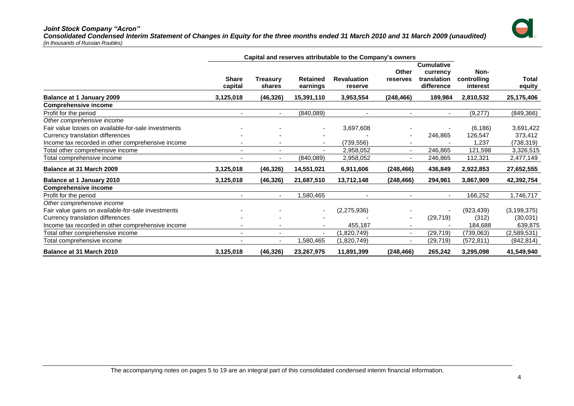#### *Joint Stock Company "Acron"*

*Consolidated Condensed Interim Statement of Changes in Equity for the three months ended 31 March 2010 and 31 March 2009 (unaudited) (in thousands of Russian Roubles)*



|                                                     | Capital and reserves attributable to the Company's owners |                          |                      |                               |                   |                                                            |                                 |                        |
|-----------------------------------------------------|-----------------------------------------------------------|--------------------------|----------------------|-------------------------------|-------------------|------------------------------------------------------------|---------------------------------|------------------------|
|                                                     | <b>Share</b><br>capital                                   | Treasurv<br>shares       | Retained<br>earnings | <b>Revaluation</b><br>reserve | Other<br>reserves | <b>Cumulative</b><br>currency<br>translation<br>difference | Non-<br>controlling<br>interest | <b>Total</b><br>equity |
| <b>Balance at 1 January 2009</b>                    | 3,125,018                                                 | (46, 326)                | 15,391,110           | 3,953,554                     | (248, 466)        | 189,984                                                    | 2,810,532                       | 25,175,406             |
| <b>Comprehensive income</b>                         |                                                           |                          |                      |                               |                   |                                                            |                                 |                        |
| Profit for the period                               |                                                           | $\blacksquare$           | (840,089)            |                               |                   |                                                            | (9,277)                         | (849, 366)             |
| Other comprehensive income                          |                                                           |                          |                      |                               |                   |                                                            |                                 |                        |
| Fair value losses on available-for-sale investments |                                                           |                          |                      | 3,697,608                     |                   |                                                            | (6, 186)                        | 3,691,422              |
| Currency translation differences                    |                                                           |                          |                      |                               |                   | 246,865                                                    | 126,547                         | 373,412                |
| Income tax recorded in other comprehensive income   |                                                           | $\overline{\phantom{a}}$ | ٠                    | (739,556)                     |                   |                                                            | 1,237                           | (738, 319)             |
| Total other comprehensive income                    |                                                           |                          |                      | 2,958,052                     | ٠                 | 246,865                                                    | 121,598                         | 3,326,515              |
| Total comprehensive income                          |                                                           |                          | (840,089)            | 2,958,052                     |                   | 246,865                                                    | 112,321                         | 2,477,149              |
| Balance at 31 March 2009                            | 3,125,018                                                 | (46, 326)                | 14,551,021           | 6,911,606                     | (248, 466)        | 436,849                                                    | 2,922,853                       | 27,652,555             |
| <b>Balance at 1 January 2010</b>                    | 3,125,018                                                 | (46, 326)                | 21,687,510           | 13,712,148                    | (248, 466)        | 294,961                                                    | 3,867,909                       | 42,392,754             |
| <b>Comprehensive income</b>                         |                                                           |                          |                      |                               |                   |                                                            |                                 |                        |
| Profit for the period                               |                                                           | $\blacksquare$           | ,580,465             |                               |                   | $\blacksquare$                                             | 166,252                         | 1,746,717              |
| Other comprehensive income                          |                                                           |                          |                      |                               |                   |                                                            |                                 |                        |
| Fair value gains on available-for-sale investments  |                                                           |                          |                      | (2,275,936)                   |                   |                                                            | (923, 439)                      | (3, 199, 375)          |
| Currency translation differences                    |                                                           |                          |                      |                               |                   | (29, 719)                                                  | (312)                           | (30,031)               |
| Income tax recorded in other comprehensive income   |                                                           |                          |                      | 455,187                       |                   |                                                            | 184,688                         | 639,875                |
| Total other comprehensive income                    |                                                           |                          |                      | (1,820,749)                   | ٠                 | (29, 719)                                                  | (739,063)                       | (2,589,531)            |
| Total comprehensive income                          | $\overline{\phantom{a}}$                                  | $\blacksquare$           | ,580,465             | (1,820,749)                   | $\blacksquare$    | (29,719)                                                   | (572, 811)                      | (842, 814)             |
| <b>Balance at 31 March 2010</b>                     | 3,125,018                                                 | (46, 326)                | 23,267,975           | 11,891,399                    | (248,466)         | 265,242                                                    | 3,295,098                       | 41,549,940             |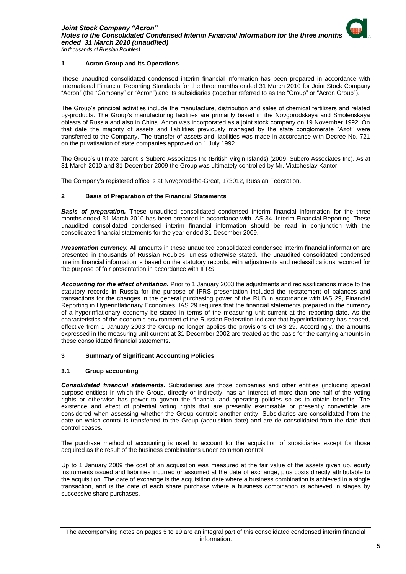

#### <span id="page-6-0"></span>**1 Acron Group and its Operations**

These unaudited consolidated condensed interim financial information has been prepared in accordance with International Financial Reporting Standards for the three months ended 31 March 2010 for Joint Stock Company "Acron" (the "Company" or "Acron") and its subsidiaries (together referred to as the "Group" or "Acron Group").

The Group's principal activities include the manufacture, distribution and sales of chemical fertilizers and related by-products. The Group's manufacturing facilities are primarily based in the Novgorodskaya and Smolenskaya oblasts of Russia and also in China. Acron was incorporated as a joint stock company on 19 November 1992. On that date the majority of assets and liabilities previously managed by the state conglomerate "Azot" were transferred to the Company. The transfer of assets and liabilities was made in accordance with Decree No. 721 on the privatisation of state companies approved on 1 July 1992.

The Group's ultimate parent is Subero Associates Inc (British Virgin Islands) (2009: Subero Associates Inc). As at 31 March 2010 and 31 December 2009 the Group was ultimately controlled by Mr. Viatcheslav Kantor.

The Company's registered office is at Novgorod-the-Great, 173012, Russian Federation.

#### <span id="page-6-1"></span>**2 Basis of Preparation of the Financial Statements**

**Basis of preparation.** These unaudited consolidated condensed interim financial information for the three months ended 31 March 2010 has been prepared in accordance with IAS 34, Interim Financial Reporting. These unaudited consolidated condensed interim financial information should be read in conjunction with the consolidated financial statements for the year ended 31 December 2009.

*Presentation currency.* All amounts in these unaudited consolidated condensed interim financial information are presented in thousands of Russian Roubles, unless otherwise stated. The unaudited consolidated condensed interim financial information is based on the statutory records, with adjustments and reclassifications recorded for the purpose of fair presentation in accordance with IFRS.

*Accounting for the effect of inflation.* Prior to 1 January 2003 the adjustments and reclassifications made to the statutory records in Russia for the purpose of IFRS presentation included the restatement of balances and transactions for the changes in the general purchasing power of the RUB in accordance with IAS 29, Financial Reporting in Hyperinflationary Economies. IAS 29 requires that the financial statements prepared in the currency of a hyperinflationary economy be stated in terms of the measuring unit current at the reporting date. As the characteristics of the economic environment of the Russian Federation indicate that hyperinflationary has ceased, effective from 1 January 2003 the Group no longer applies the provisions of IAS 29. Accordingly, the amounts expressed in the measuring unit current at 31 December 2002 are treated as the basis for the carrying amounts in these consolidated financial statements.

#### <span id="page-6-2"></span>**3 Summary of Significant Accounting Policies**

#### **3.1 Group accounting**

*Consolidated financial statements.* Subsidiaries are those companies and other entities (including special purpose entities) in which the Group, directly or indirectly, has an interest of more than one half of the voting rights or otherwise has power to govern the financial and operating policies so as to obtain benefits. The existence and effect of potential voting rights that are presently exercisable or presently convertible are considered when assessing whether the Group controls another entity. Subsidiaries are consolidated from the date on which control is transferred to the Group (acquisition date) and are de-consolidated from the date that control ceases.

The purchase method of accounting is used to account for the acquisition of subsidiaries except for those acquired as the result of the business combinations under common control.

Up to 1 January 2009 the cost of an acquisition was measured at the fair value of the assets given up, equity instruments issued and liabilities incurred or assumed at the date of exchange, plus costs directly attributable to the acquisition. The date of exchange is the acquisition date where a business combination is achieved in a single transaction, and is the date of each share purchase where a business combination is achieved in stages by successive share purchases.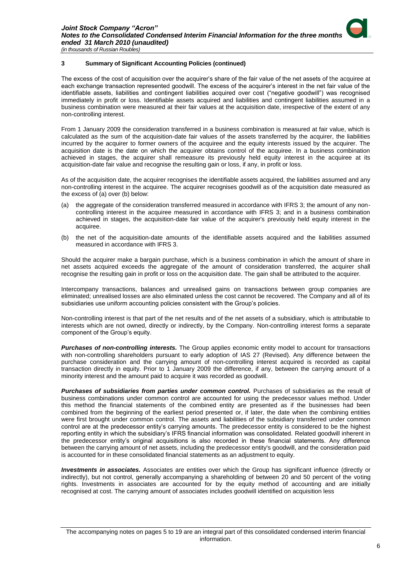The excess of the cost of acquisition over the acquirer's share of the fair value of the net assets of the acquiree at each exchange transaction represented goodwill. The excess of the acquirer's interest in the net fair value of the identifiable assets, liabilities and contingent liabilities acquired over cost ("negative goodwill") was recognised immediately in profit or loss. Identifiable assets acquired and liabilities and contingent liabilities assumed in a business combination were measured at their fair values at the acquisition date, irrespective of the extent of any non-controlling interest.

From 1 January 2009 the consideration transferred in a business combination is measured at fair value, which is calculated as the sum of the acquisition-date fair values of the assets transferred by the acquirer, the liabilities incurred by the acquirer to former owners of the acquiree and the equity interests issued by the acquirer. The acquisition date is the date on which the acquirer obtains control of the acquiree. In a business combination achieved in stages, the acquirer shall remeasure its previously held equity interest in the acquiree at its acquisition-date fair value and recognise the resulting gain or loss, if any, in profit or loss.

As of the acquisition date, the acquirer recognises the identifiable assets acquired, the liabilities assumed and any non-controlling interest in the acquiree. The acquirer recognises goodwill as of the acquisition date measured as the excess of (a) over (b) below:

- (a) the aggregate of the consideration transferred measured in accordance with IFRS 3; the amount of any noncontrolling interest in the acquiree measured in accordance with IFRS 3; and in a business combination achieved in stages, the acquisition-date fair value of the acquirer's previously held equity interest in the acquiree.
- (b) the net of the acquisition-date amounts of the identifiable assets acquired and the liabilities assumed measured in accordance with IFRS 3.

Should the acquirer make a bargain purchase, which is a business combination in which the amount of share in net assets acquired exceeds the aggregate of the amount of consideration transferred, the acquirer shall recognise the resulting gain in profit or loss on the acquisition date. The gain shall be attributed to the acquirer.

Intercompany transactions, balances and unrealised gains on transactions between group companies are eliminated; unrealised losses are also eliminated unless the cost cannot be recovered. The Company and all of its subsidiaries use uniform accounting policies consistent with the Group's policies.

Non-controlling interest is that part of the net results and of the net assets of a subsidiary, which is attributable to interests which are not owned, directly or indirectly, by the Company. Non-controlling interest forms a separate component of the Group's equity.

*Purchases of non-controlling interests.* The Group applies economic entity model to account for transactions with non-controlling shareholders pursuant to early adoption of IAS 27 (Revised). Any difference between the purchase consideration and the carrying amount of non-controlling interest acquired is recorded as capital transaction directly in equity. Prior to 1 January 2009 the difference, if any, between the carrying amount of a minority interest and the amount paid to acquire it was recorded as goodwill.

*Purchases of subsidiaries from parties under common control.* Purchases of subsidiaries as the result of business combinations under common control are accounted for using the predecessor values method. Under this method the financial statements of the combined entity are presented as if the businesses had been combined from the beginning of the earliest period presented or, if later, the date when the combining entities were first brought under common control. The assets and liabilities of the subsidiary transferred under common control are at the predecessor entity's carrying amounts. The predecessor entity is considered to be the highest reporting entity in which the subsidiary's IFRS financial information was consolidated. Related goodwill inherent in the predecessor entity's original acquisitions is also recorded in these financial statements. Any difference between the carrying amount of net assets, including the predecessor entity's goodwill, and the consideration paid is accounted for in these consolidated financial statements as an adjustment to equity.

*Investments in associates.* Associates are entities over which the Group has significant influence (directly or indirectly), but not control, generally accompanying a shareholding of between 20 and 50 percent of the voting rights. Investments in associates are accounted for by the equity method of accounting and are initially recognised at cost. The carrying amount of associates includes goodwill identified on acquisition less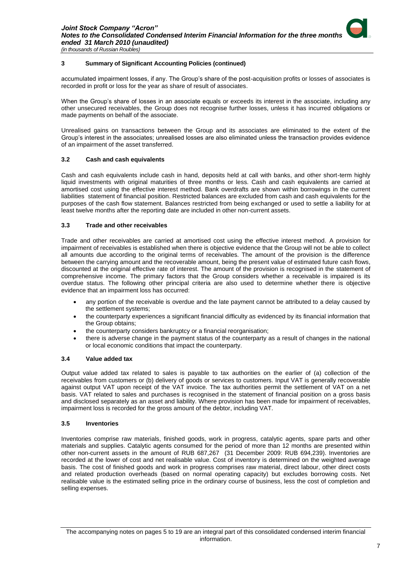accumulated impairment losses, if any. The Group's share of the post-acquisition profits or losses of associates is recorded in profit or loss for the year as share of result of associates.

When the Group's share of losses in an associate equals or exceeds its interest in the associate, including any other unsecured receivables, the Group does not recognise further losses, unless it has incurred obligations or made payments on behalf of the associate.

Unrealised gains on transactions between the Group and its associates are eliminated to the extent of the Group's interest in the associates; unrealised losses are also eliminated unless the transaction provides evidence of an impairment of the asset transferred.

#### **3.2 Cash and cash equivalents**

Cash and cash equivalents include cash in hand, deposits held at call with banks, and other short-term highly liquid investments with original maturities of three months or less. Cash and cash equivalents are carried at amortised cost using the effective interest method. Bank overdrafts are shown within borrowings in the current liabilities statement of financial position. Restricted balances are excluded from cash and cash equivalents for the purposes of the cash flow statement. Balances restricted from being exchanged or used to settle a liability for at least twelve months after the reporting date are included in other non-current assets.

#### **3.3 Trade and other receivables**

Trade and other receivables are carried at amortised cost using the effective interest method. A provision for impairment of receivables is established when there is objective evidence that the Group will not be able to collect all amounts due according to the original terms of receivables. The amount of the provision is the difference between the carrying amount and the recoverable amount, being the present value of estimated future cash flows, discounted at the original effective rate of interest. The amount of the provision is recognised in the statement of comprehensive income. The primary factors that the Group considers whether a receivable is impaired is its overdue status. The following other principal criteria are also used to determine whether there is objective evidence that an impairment loss has occurred:

- any portion of the receivable is overdue and the late payment cannot be attributed to a delay caused by the settlement systems;
- the counterparty experiences a significant financial difficulty as evidenced by its financial information that the Group obtains;
- the counterparty considers bankruptcy or a financial reorganisation;
- there is adverse change in the payment status of the counterparty as a result of changes in the national or local economic conditions that impact the counterparty.

#### **3.4 Value added tax**

Output value added tax related to sales is payable to tax authorities on the earlier of (a) collection of the receivables from customers or (b) delivery of goods or services to customers. Input VAT is generally recoverable against output VAT upon receipt of the VAT invoice. The tax authorities permit the settlement of VAT on a net basis. VAT related to sales and purchases is recognised in the statement of financial position on a gross basis and disclosed separately as an asset and liability. Where provision has been made for impairment of receivables, impairment loss is recorded for the gross amount of the debtor, including VAT.

#### **3.5 Inventories**

Inventories comprise raw materials, finished goods, work in progress, catalytic agents, spare parts and other materials and supplies. Catalytic agents consumed for the period of more than 12 months are presented within other non-current assets in the amount of RUB 687,267 (31 December 2009: RUB 694,239). Inventories are recorded at the lower of cost and net realisable value. Cost of inventory is determined on the weighted average basis. The cost of finished goods and work in progress comprises raw material, direct labour, other direct costs and related production overheads (based on normal operating capacity) but excludes borrowing costs. Net realisable value is the estimated selling price in the ordinary course of business, less the cost of completion and selling expenses.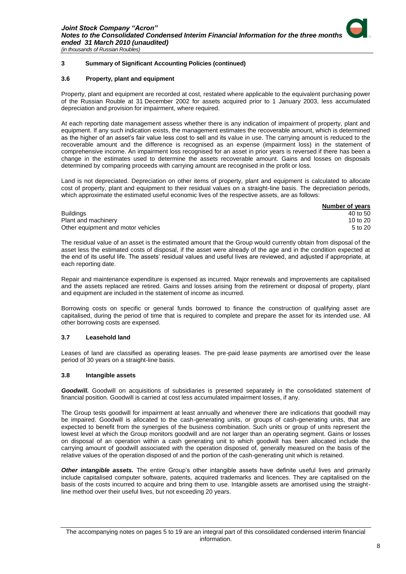#### **3.6 Property, plant and equipment**

Property, plant and equipment are recorded at cost, restated where applicable to the equivalent purchasing power of the Russian Rouble at 31 December 2002 for assets acquired prior to 1 January 2003, less accumulated depreciation and provision for impairment, where required.

At each reporting date management assess whether there is any indication of impairment of property, plant and equipment. If any such indication exists, the management estimates the recoverable amount, which is determined as the higher of an asset's fair value less cost to sell and its value in use. The carrying amount is reduced to the recoverable amount and the difference is recognised as an expense (impairment loss) in the statement of comprehensive income. An impairment loss recognised for an asset in prior years is reversed if there has been a change in the estimates used to determine the assets recoverable amount. Gains and losses on disposals determined by comparing proceeds with carrying amount are recognised in the profit or loss.

Land is not depreciated. Depreciation on other items of property, plant and equipment is calculated to allocate cost of property, plant and equipment to their residual values on a straight-line basis. The depreciation periods, which approximate the estimated useful economic lives of the respective assets, are as follows:

|                                    | Number of years |
|------------------------------------|-----------------|
| <b>Buildings</b>                   | 40 to 50        |
| Plant and machinery                | 10 to $20$      |
| Other equipment and motor vehicles | 5 to 20         |

The residual value of an asset is the estimated amount that the Group would currently obtain from disposal of the asset less the estimated costs of disposal, if the asset were already of the age and in the condition expected at the end of its useful life. The assets' residual values and useful lives are reviewed, and adjusted if appropriate, at each reporting date.

Repair and maintenance expenditure is expensed as incurred. Major renewals and improvements are capitalised and the assets replaced are retired. Gains and losses arising from the retirement or disposal of property, plant and equipment are included in the statement of income as incurred.

Borrowing costs on specific or general funds borrowed to finance the construction of qualifying asset are capitalised, during the period of time that is required to complete and prepare the asset for its intended use. All other borrowing costs are expensed.

#### **3.7 Leasehold land**

Leases of land are classified as operating leases. The pre-paid lease payments are amortised over the lease period of 30 years on a straight-line basis.

#### **3.8 Intangible assets**

*Goodwill.* Goodwill on acquisitions of subsidiaries is presented separately in the consolidated statement of financial position. Goodwill is carried at cost less accumulated impairment losses, if any.

The Group tests goodwill for impairment at least annually and whenever there are indications that goodwill may be impaired. Goodwill is allocated to the cash-generating units, or groups of cash-generating units, that are expected to benefit from the synergies of the business combination. Such units or group of units represent the lowest level at which the Group monitors goodwill and are not larger than an operating segment. Gains or losses on disposal of an operation within a cash generating unit to which goodwill has been allocated include the carrying amount of goodwill associated with the operation disposed of, generally measured on the basis of the relative values of the operation disposed of and the portion of the cash-generating unit which is retained.

*Other intangible assets.* The entire Group's other intangible assets have definite useful lives and primarily include capitalised computer software, patents, acquired trademarks and licences. They are capitalised on the basis of the costs incurred to acquire and bring them to use. Intangible assets are amortised using the straightline method over their useful lives, but not exceeding 20 years.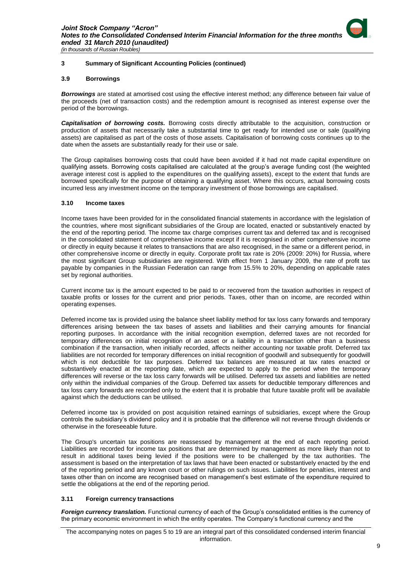

#### **3.9 Borrowings**

*Borrowings* are stated at amortised cost using the effective interest method; any difference between fair value of the proceeds (net of transaction costs) and the redemption amount is recognised as interest expense over the period of the borrowings.

*Capitalisation of borrowing costs.* Borrowing costs directly attributable to the acquisition, construction or production of assets that necessarily take a substantial time to get ready for intended use or sale (qualifying assets) are capitalised as part of the costs of those assets. Capitalisation of borrowing costs continues up to the date when the assets are substantially ready for their use or sale.

The Group capitalises borrowing costs that could have been avoided if it had not made capital expenditure on qualifying assets. Borrowing costs capitalised are calculated at the group's average funding cost (the weighted average interest cost is applied to the expenditures on the qualifying assets), except to the extent that funds are borrowed specifically for the purpose of obtaining a qualifying asset. Where this occurs, actual borrowing costs incurred less any investment income on the temporary investment of those borrowings are capitalised.

#### **3.10 Income taxes**

Income taxes have been provided for in the consolidated financial statements in accordance with the legislation of the countries, where most significant subsidiaries of the Group are located, enacted or substantively enacted by the end of the reporting period. The income tax charge comprises current tax and deferred tax and is recognised in the consolidated statement of comprehensive income except if it is recognised in other comprehensive income or directly in equity because it relates to transactions that are also recognised, in the same or a different period, in other comprehensive income or directly in equity. Corporate profit tax rate is 20% (2009: 20%) for Russia, where the most significant Group subsidiaries are registered. With effect from 1 January 2009, the rate of profit tax payable by companies in the Russian Federation can range from 15.5% to 20%, depending on applicable rates set by regional authorities.

Current income tax is the amount expected to be paid to or recovered from the taxation authorities in respect of taxable profits or losses for the current and prior periods. Taxes, other than on income, are recorded within operating expenses.

Deferred income tax is provided using the balance sheet liability method for tax loss carry forwards and temporary differences arising between the tax bases of assets and liabilities and their carrying amounts for financial reporting purposes. In accordance with the initial recognition exemption, deferred taxes are not recorded for temporary differences on initial recognition of an asset or a liability in a transaction other than a business combination if the transaction, when initially recorded, affects neither accounting nor taxable profit. Deferred tax liabilities are not recorded for temporary differences on initial recognition of goodwill and subsequently for goodwill which is not deductible for tax purposes. Deferred tax balances are measured at tax rates enacted or substantively enacted at the reporting date, which are expected to apply to the period when the temporary differences will reverse or the tax loss carry forwards will be utilised. Deferred tax assets and liabilities are netted only within the individual companies of the Group. Deferred tax assets for deductible temporary differences and tax loss carry forwards are recorded only to the extent that it is probable that future taxable profit will be available against which the deductions can be utilised.

Deferred income tax is provided on post acquisition retained earnings of subsidiaries, except where the Group controls the subsidiary's dividend policy and it is probable that the difference will not reverse through dividends or otherwise in the foreseeable future.

The Group's uncertain tax positions are reassessed by management at the end of each reporting period. Liabilities are recorded for income tax positions that are determined by management as more likely than not to result in additional taxes being levied if the positions were to be challenged by the tax authorities. The assessment is based on the interpretation of tax laws that have been enacted or substantively enacted by the end of the reporting period and any known court or other rulings on such issues. Liabilities for penalties, interest and taxes other than on income are recognised based on management's best estimate of the expenditure required to settle the obligations at the end of the reporting period.

#### **3.11 Foreign currency transactions**

*Foreign currency translation.* Functional currency of each of the Group's consolidated entities is the currency of the primary economic environment in which the entity operates. The Company's functional currency and the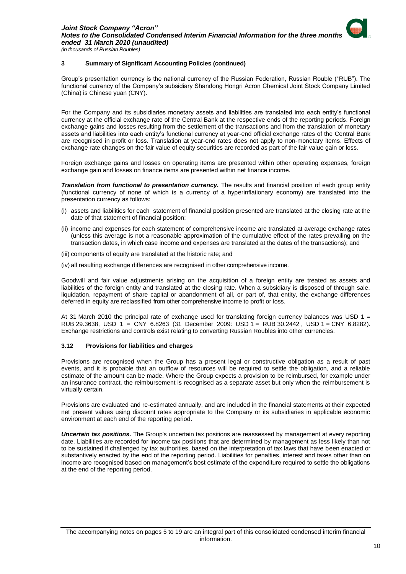Group's presentation currency is the national currency of the Russian Federation, Russian Rouble ("RUB"). The functional currency of the Company's subsidiary Shandong Hongri Acron Chemical Joint Stock Company Limited (China) is Chinese yuan (CNY).

For the Company and its subsidiaries monetary assets and liabilities are translated into each entity's functional currency at the official exchange rate of the Central Bank at the respective ends of the reporting periods. Foreign exchange gains and losses resulting from the settlement of the transactions and from the translation of monetary assets and liabilities into each entity's functional currency at year-end official exchange rates of the Central Bank are recognised in profit or loss. Translation at year-end rates does not apply to non-monetary items. Effects of exchange rate changes on the fair value of equity securities are recorded as part of the fair value gain or loss.

Foreign exchange gains and losses on operating items are presented within other operating expenses, foreign exchange gain and losses on finance items are presented within net finance income.

*Translation from functional to presentation currency.* The results and financial position of each group entity (functional currency of none of which is a currency of a hyperinflationary economy) are translated into the presentation currency as follows:

- (i) assets and liabilities for each statement of financial position presented are translated at the closing rate at the date of that statement of financial position;
- (ii) income and expenses for each statement of comprehensive income are translated at average exchange rates (unless this average is not a reasonable approximation of the cumulative effect of the rates prevailing on the transaction dates, in which case income and expenses are translated at the dates of the transactions); and
- (iii) components of equity are translated at the historic rate; and
- (iv) all resulting exchange differences are recognised in other comprehensive income.

Goodwill and fair value adjustments arising on the acquisition of a foreign entity are treated as assets and liabilities of the foreign entity and translated at the closing rate. When a subsidiary is disposed of through sale, liquidation, repayment of share capital or abandonment of all, or part of, that entity, the exchange differences deferred in equity are reclassified from other comprehensive income to profit or loss.

At 31 March 2010 the principal rate of exchange used for translating foreign currency balances was USD 1 = RUB 29.3638, USD 1 = CNY 6.8263 (31 December 2009: USD 1 = RUB 30.2442 , USD 1 = CNY 6.8282). Exchange restrictions and controls exist relating to converting Russian Roubles into other currencies.

#### **3.12 Provisions for liabilities and charges**

Provisions are recognised when the Group has a present legal or constructive obligation as a result of past events, and it is probable that an outflow of resources will be required to settle the obligation, and a reliable estimate of the amount can be made. Where the Group expects a provision to be reimbursed, for example under an insurance contract, the reimbursement is recognised as a separate asset but only when the reimbursement is virtually certain.

Provisions are evaluated and re-estimated annually, and are included in the financial statements at their expected net present values using discount rates appropriate to the Company or its subsidiaries in applicable economic environment at each end of the reporting period.

*Uncertain tax positions.* The Group's uncertain tax positions are reassessed by management at every reporting date. Liabilities are recorded for income tax positions that are determined by management as less likely than not to be sustained if challenged by tax authorities, based on the interpretation of tax laws that have been enacted or substantively enacted by the end of the reporting period. Liabilities for penalties, interest and taxes other than on income are recognised based on management's best estimate of the expenditure required to settle the obligations at the end of the reporting period.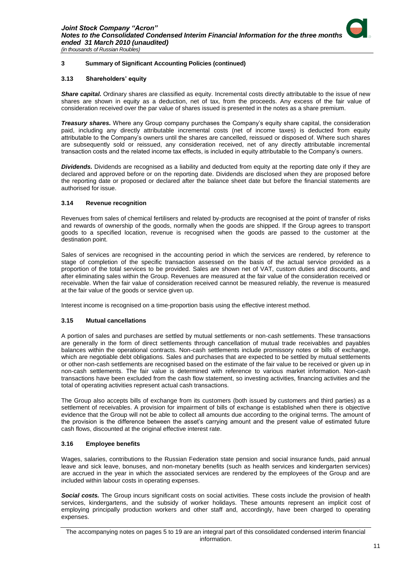

#### **3.13 Shareholders' equity**

**Share capital.** Ordinary shares are classified as equity. Incremental costs directly attributable to the issue of new shares are shown in equity as a deduction, net of tax, from the proceeds. Any excess of the fair value of consideration received over the par value of shares issued is presented in the notes as a share premium.

*Treasury shares.* Where any Group company purchases the Company's equity share capital, the consideration paid, including any directly attributable incremental costs (net of income taxes) is deducted from equity attributable to the Company's owners until the shares are cancelled, reissued or disposed of. Where such shares are subsequently sold or reissued, any consideration received, net of any directly attributable incremental transaction costs and the related income tax effects, is included in equity attributable to the Company's owners.

*Dividends.* Dividends are recognised as a liability and deducted from equity at the reporting date only if they are declared and approved before or on the reporting date. Dividends are disclosed when they are proposed before the reporting date or proposed or declared after the balance sheet date but before the financial statements are authorised for issue.

#### **3.14 Revenue recognition**

Revenues from sales of chemical fertilisers and related by-products are recognised at the point of transfer of risks and rewards of ownership of the goods, normally when the goods are shipped. If the Group agrees to transport goods to a specified location, revenue is recognised when the goods are passed to the customer at the destination point.

Sales of services are recognised in the accounting period in which the services are rendered, by reference to stage of completion of the specific transaction assessed on the basis of the actual service provided as a proportion of the total services to be provided. Sales are shown net of VAT, custom duties and discounts, and after eliminating sales within the Group. Revenues are measured at the fair value of the consideration received or receivable. When the fair value of consideration received cannot be measured reliably, the revenue is measured at the fair value of the goods or service given up.

Interest income is recognised on a time-proportion basis using the effective interest method.

#### **3.15 Mutual cancellations**

A portion of sales and purchases are settled by mutual settlements or non-cash settlements. These transactions are generally in the form of direct settlements through cancellation of mutual trade receivables and payables balances within the operational contracts. Non-cash settlements include promissory notes or bills of exchange, which are negotiable debt obligations. Sales and purchases that are expected to be settled by mutual settlements or other non-cash settlements are recognised based on the estimate of the fair value to be received or given up in non-cash settlements. The fair value is determined with reference to various market information. Non-cash transactions have been excluded from the cash flow statement, so investing activities, financing activities and the total of operating activities represent actual cash transactions.

The Group also accepts bills of exchange from its customers (both issued by customers and third parties) as a settlement of receivables. A provision for impairment of bills of exchange is established when there is objective evidence that the Group will not be able to collect all amounts due according to the original terms. The amount of the provision is the difference between the asset's carrying amount and the present value of estimated future cash flows, discounted at the original effective interest rate.

#### **3.16 Employee benefits**

Wages, salaries, contributions to the Russian Federation state pension and social insurance funds, paid annual leave and sick leave, bonuses, and non-monetary benefits (such as health services and kindergarten services) are accrued in the year in which the associated services are rendered by the employees of the Group and are included within labour costs in operating expenses.

*Social costs.* The Group incurs significant costs on social activities. These costs include the provision of health services, kindergartens, and the subsidy of worker holidays. These amounts represent an implicit cost of employing principally production workers and other staff and, accordingly, have been charged to operating expenses.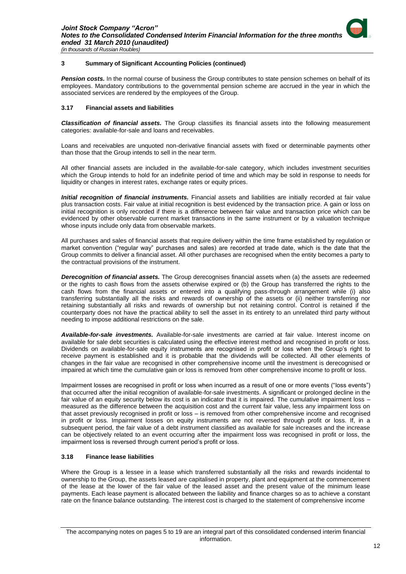**Pension costs.** In the normal course of business the Group contributes to state pension schemes on behalf of its employees. Mandatory contributions to the governmental pension scheme are accrued in the year in which the associated services are rendered by the employees of the Group.

#### **3.17 Financial assets and liabilities**

*Classification of financial assets.* The Group classifies its financial assets into the following measurement categories: available-for-sale and loans and receivables.

Loans and receivables are unquoted non-derivative financial assets with fixed or determinable payments other than those that the Group intends to sell in the near term.

All other financial assets are included in the available-for-sale category, which includes investment securities which the Group intends to hold for an indefinite period of time and which may be sold in response to needs for liquidity or changes in interest rates, exchange rates or equity prices.

*Initial recognition of financial instruments.* Financial assets and liabilities are initially recorded at fair value plus transaction costs. Fair value at initial recognition is best evidenced by the transaction price. A gain or loss on initial recognition is only recorded if there is a difference between fair value and transaction price which can be evidenced by other observable current market transactions in the same instrument or by a valuation technique whose inputs include only data from observable markets.

All purchases and sales of financial assets that require delivery within the time frame established by regulation or market convention ("regular way" purchases and sales) are recorded at trade date, which is the date that the Group commits to deliver a financial asset. All other purchases are recognised when the entity becomes a party to the contractual provisions of the instrument.

*Derecognition of financial assets.* The Group derecognises financial assets when (a) the assets are redeemed or the rights to cash flows from the assets otherwise expired or (b) the Group has transferred the rights to the cash flows from the financial assets or entered into a qualifying pass-through arrangement while (i) also transferring substantially all the risks and rewards of ownership of the assets or (ii) neither transferring nor retaining substantially all risks and rewards of ownership but not retaining control. Control is retained if the counterparty does not have the practical ability to sell the asset in its entirety to an unrelated third party without needing to impose additional restrictions on the sale.

*Available-for-sale investments.* Available-for-sale investments are carried at fair value. Interest income on available for sale debt securities is calculated using the effective interest method and recognised in profit or loss. Dividends on available-for-sale equity instruments are recognised in profit or loss when the Group's right to receive payment is established and it is probable that the dividends will be collected. All other elements of changes in the fair value are recognised in other comprehensive income until the investment is derecognised or impaired at which time the cumulative gain or loss is removed from other comprehensive income to profit or loss.

Impairment losses are recognised in profit or loss when incurred as a result of one or more events ("loss events") that occurred after the initial recognition of available-for-sale investments. A significant or prolonged decline in the fair value of an equity security below its cost is an indicator that it is impaired. The cumulative impairment loss – measured as the difference between the acquisition cost and the current fair value, less any impairment loss on that asset previously recognised in profit or loss – is removed from other comprehensive income and recognised in profit or loss. Impairment losses on equity instruments are not reversed through profit or loss. If, in a subsequent period, the fair value of a debt instrument classified as available for sale increases and the increase can be objectively related to an event occurring after the impairment loss was recognised in profit or loss, the impairment loss is reversed through current period's profit or loss.

#### **3.18 Finance lease liabilities**

Where the Group is a lessee in a lease which transferred substantially all the risks and rewards incidental to ownership to the Group, the assets leased are capitalised in property, plant and equipment at the commencement of the lease at the lower of the fair value of the leased asset and the present value of the minimum lease payments. Each lease payment is allocated between the liability and finance charges so as to achieve a constant rate on the finance balance outstanding. The interest cost is charged to the statement of comprehensive income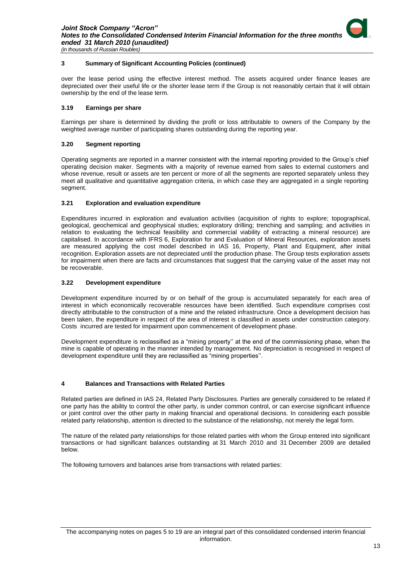over the lease period using the effective interest method. The assets acquired under finance leases are depreciated over their useful life or the shorter lease term if the Group is not reasonably certain that it will obtain ownership by the end of the lease term.

#### **3.19 Earnings per share**

Earnings per share is determined by dividing the profit or loss attributable to owners of the Company by the weighted average number of participating shares outstanding during the reporting year.

#### **3.20 Segment reporting**

Operating segments are reported in a manner consistent with the internal reporting provided to the Group's chief operating decision maker. Segments with a majority of revenue earned from sales to external customers and whose revenue, result or assets are ten percent or more of all the segments are reported separately unless they meet all qualitative and quantitative aggregation criteria, in which case they are aggregated in a single reporting segment.

#### **3.21 Exploration and evaluation expenditure**

Expenditures incurred in exploration and evaluation activities (acquisition of rights to explore; topographical, geological, geochemical and geophysical studies; exploratory drilling; trenching and sampling; and activities in relation to evaluating the technical feasibility and commercial viability of extracting a mineral resource) are capitalised. In accordance with IFRS 6, Exploration for and Evaluation of Mineral Resources*,* exploration assets are measured applying the cost model described in IAS 16, Property, Plant and Equipment, after initial recognition. Exploration assets are not depreciated until the production phase. The Group tests exploration assets for impairment when there are facts and circumstances that suggest that the carrying value of the asset may not be recoverable.

#### **3.22 Development expenditure**

Development expenditure incurred by or on behalf of the group is accumulated separately for each area of interest in which economically recoverable resources have been identified. Such expenditure comprises cost directly attributable to the construction of a mine and the related infrastructure. Once a development decision has been taken, the expenditure in respect of the area of interest is classified in assets under construction category. Costs incurred are tested for impairment upon commencement of development phase.

Development expenditure is reclassified as a "mining property'' at the end of the commissioning phase, when the mine is capable of operating in the manner intended by management. No depreciation is recognised in respect of development expenditure until they are reclassified as "mining properties''.

#### <span id="page-14-0"></span>**4 Balances and Transactions with Related Parties**

Related parties are defined in IAS 24, Related Party Disclosures. Parties are generally considered to be related if one party has the ability to control the other party, is under common control, or can exercise significant influence or joint control over the other party in making financial and operational decisions. In considering each possible related party relationship, attention is directed to the substance of the relationship, not merely the legal form.

The nature of the related party relationships for those related parties with whom the Group entered into significant transactions or had significant balances outstanding at 31 March 2010 and 31 December 2009 are detailed below.

The following turnovers and balances arise from transactions with related parties: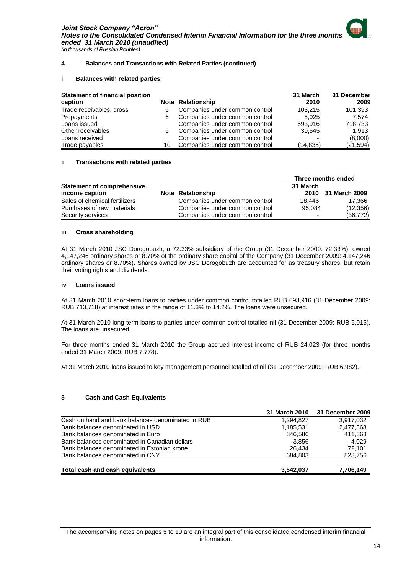#### **4 Balances and Transactions with Related Parties (continued)**

#### **i Balances with related parties**

| <b>Statement of financial position</b> |    |                                | 31 March  | 31 December |
|----------------------------------------|----|--------------------------------|-----------|-------------|
| caption                                |    | <b>Note Relationship</b>       | 2010      | 2009        |
| Trade receivables, gross               | 6  | Companies under common control | 103.215   | 101,393     |
| Prepayments                            | 6  | Companies under common control | 5.025     | 7.574       |
| Loans issued                           |    | Companies under common control | 693.916   | 718,733     |
| Other receivables                      | 6  | Companies under common control | 30.545    | 1.913       |
| Loans received                         |    | Companies under common control |           | (8,000)     |
| Trade payables                         | 10 | Companies under common control | (14, 835) | (21, 594)   |

#### **ii Transactions with related parties**

|                                   |                                | Three months ended |               |
|-----------------------------------|--------------------------------|--------------------|---------------|
| <b>Statement of comprehensive</b> |                                | 31 March           |               |
| income caption                    | <b>Note Relationship</b>       | 2010               | 31 March 2009 |
| Sales of chemical fertilizers     | Companies under common control | 18.446             | 17.366        |
| Purchases of raw materials        | Companies under common control | 95.084             | (12,356)      |
| Security services                 | Companies under common control |                    | (36, 772)     |

#### **iii Cross shareholding**

At 31 March 2010 JSC Dorogobuzh, a 72.33% subsidiary of the Group (31 December 2009: 72.33%), owned 4,147,246 ordinary shares or 8.70% of the ordinary share capital of the Company (31 December 2009: 4,147,246 ordinary shares or 8.70%). Shares owned by JSC Dorogobuzh are accounted for as treasury shares, but retain their voting rights and dividends.

#### **iv Loans issued**

At 31 March 2010 short-term loans to parties under common control totalled RUB 693,916 (31 December 2009: RUB 713,718) at interest rates in the range of 11.3% to 14.2%. The loans were unsecured.

At 31 March 2010 long-term loans to parties under common control totalled nil (31 December 2009: RUB 5,015). The loans are unsecured.

For three months ended 31 March 2010 the Group accrued interest income of RUB 24,023 (for three months ended 31 March 2009: RUB 7,778).

At 31 March 2010 loans issued to key management personnel totalled of nil (31 December 2009: RUB 6,982).

#### <span id="page-15-0"></span>**5 Cash and Cash Equivalents**

|                                                   | 31 March 2010 | 31 December 2009 |
|---------------------------------------------------|---------------|------------------|
| Cash on hand and bank balances denominated in RUB | 1.294.827     | 3.917.032        |
| Bank balances denominated in USD                  | 1,185,531     | 2,477,868        |
| Bank balances denominated in Euro                 | 346.586       | 411.363          |
| Bank balances denominated in Canadian dollars     | 3.856         | 4.029            |
| Bank balances denominated in Estonian krone       | 26.434        | 72.101           |
| Bank balances denominated in CNY                  | 684.803       | 823,756          |
| Total cash and cash equivalents                   | 3.542.037     | 7,706,149        |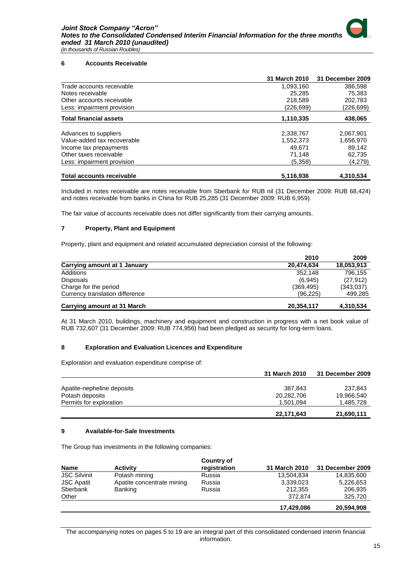#### <span id="page-16-0"></span>**6 Accounts Receivable**

|                                  | 31 March 2010 | 31 December 2009 |
|----------------------------------|---------------|------------------|
| Trade accounts receivable        | 1,093,160     | 386.598          |
| Notes receivable                 | 25.285        | 75,383           |
| Other accounts receivable        | 218.589       | 202.783          |
| Less: impairment provision       | (226,699)     | (226,699)        |
| <b>Total financial assets</b>    | 1,110,335     | 438,065          |
| Advances to suppliers            | 2,338,767     | 2,067,901        |
| Value-added tax recoverable      | 1,552,373     | 1,656,970        |
| Income tax prepayments           | 49.671        | 89,142           |
| Other taxes receivable           | 71.148        | 62,735           |
| Less: impairment provision       | (5,358)       | (4,279)          |
| <b>Total accounts receivable</b> | 5,116,936     | 4.310.534        |

Included in notes receivable are notes receivable from Sberbank for RUB nil (31 December 2009: RUB 68,424) and notes receivable from banks in China for RUB 25,285 (31 December 2009: RUB 6,959).

The fair value of accounts receivable does not differ significantly from their carrying amounts.

#### <span id="page-16-1"></span>**7 Property, Plant and Equipment**

Property, plant and equipment and related accumulated depreciation consist of the following:

|                                 | 2010       | 2009       |
|---------------------------------|------------|------------|
| Carrying amount at 1 January    | 20.474.634 | 18,053,913 |
| Additions                       | 352.148    | 796,155    |
| Disposals                       | (6.945)    | (27, 912)  |
| Charge for the period           | (369, 495) | (343,037)  |
| Currency translation difference | (96, 225)  | 499,285    |
| Carrying amount at 31 March     | 20,354,117 | 4,310,534  |

At 31 March 2010, buildings, machinery and equipment and construction in progress with a net book value of RUB 732,607 (31 December 2009: RUB 774,956) had been pledged as security for long-term loans.

#### <span id="page-16-2"></span>**8 Exploration and Evaluation Licences and Expenditure**

Exploration and evaluation expenditure comprise of:

|                            | 31 March 2010 | 31 December 2009 |
|----------------------------|---------------|------------------|
| Apatite-nepheline deposits | 387.843       | 237.843          |
| Potash deposits            | 20,282,706    | 19,966,540       |
| Permits for exploration    | 1.501.094     | 1,485,728        |
|                            | 22,171,643    | 21,690,111       |

#### <span id="page-16-3"></span>**9 Available-for-Sale Investments**

The Group has investments in the following companies:

| <b>Name</b>         | <b>Activity</b>            | Country of<br>registration | 31 March 2010 | 31 December 2009 |
|---------------------|----------------------------|----------------------------|---------------|------------------|
| <b>JSC Silvinit</b> | Potash mining              | Russia                     | 13,504,834    | 14,835,600       |
| <b>JSC Apatit</b>   | Apatite concentrate mining | Russia                     | 3,339,023     | 5,226,653        |
| Sberbank            | Banking                    | Russia                     | 212,355       | 206,935          |
| Other               |                            |                            | 372,874       | 325,720          |
|                     |                            |                            | 17,429,086    | 20,594,908       |

The accompanying notes on pages 5 to 19 are an integral part of this consolidated condensed interim financial information.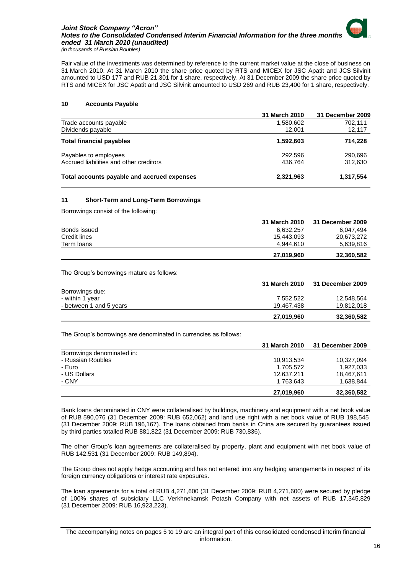Fair value of the investments was determined by reference to the current market value at the close of business on 31 March 2010. At 31 March 2010 the share price quoted by RTS and MICEX for JSC Apatit and JCS Silvinit amounted to USD 177 and RUB 21,301 for 1 share, respectively. At 31 December 2009 the share price quoted by RTS and MICEX for JSC Apatit and JSС Silvinit amounted to USD 269 and RUB 23,400 for 1 share, respectively.

### <span id="page-17-0"></span>**10 Accounts Payable**

|                                             | 31 March 2010 | 31 December 2009 |
|---------------------------------------------|---------------|------------------|
| Trade accounts payable                      | 1,580,602     | 702.111          |
| Dividends payable                           | 12.001        | 12,117           |
| <b>Total financial payables</b>             | 1,592,603     | 714.228          |
| Payables to employees                       | 292,596       | 290,696          |
| Accrued liabilities and other creditors     | 436,764       | 312,630          |
| Total accounts payable and accrued expenses | 2,321,963     | 1,317,554        |

### <span id="page-17-1"></span>**11 Short-Term and Long-Term Borrowings**

Borrowings consist of the following:

|              | 31 March 2010 | 31 December 2009 |
|--------------|---------------|------------------|
| Bonds issued | 6.632.257     | 6.047.494        |
| Credit lines | 15.443.093    | 20.673.272       |
| Term loans   | 4.944.610     | 5,639,816        |
|              | 27.019.960    | 32,360,582       |

The Group's borrowings mature as follows:

|                         | 31 March 2010 | 31 December 2009 |
|-------------------------|---------------|------------------|
| Borrowings due:         |               |                  |
| - within 1 year         | 7.552.522     | 12,548,564       |
| - between 1 and 5 years | 19.467.438    | 19,812,018       |
|                         | 27.019.960    | 32,360,582       |

The Group's borrowings are denominated in currencies as follows:

|                            | 31 March 2010 | 31 December 2009 |
|----------------------------|---------------|------------------|
| Borrowings denominated in: |               |                  |
| - Russian Roubles          | 10,913,534    | 10,327,094       |
| - Euro                     | 1,705,572     | 1,927,033        |
| - US Dollars               | 12,637,211    | 18,467,611       |
| - CNY                      | 1,763,643     | 1,638,844        |
|                            | 27,019,960    | 32,360,582       |

Bank loans denominated in CNY were collateralised by buildings, machinery and equipment with a net book value of RUB 590,076 (31 December 2009: RUB 652,062) and land use right with a net book value of RUB 198,545 (31 December 2009: RUB 196,167). The loans obtained from banks in China are secured by guarantees issued by third parties totalled RUB 881,822 (31 December 2009: RUB 730,836).

The other Group's loan agreements are collateralised by property, plant and equipment with net book value of RUB 142,531 (31 December 2009: RUB 149,894).

The Group does not apply hedge accounting and has not entered into any hedging arrangements in respect of its foreign currency obligations or interest rate exposures.

The loan agreements for a total of RUB 4,271,600 (31 December 2009: RUB 4,271,600) were secured by pledge of 100% shares of subsidiary LLC Verkhnekamsk Potash Company with net assets of RUB 17,345,829 (31 December 2009: RUB 16,923,223).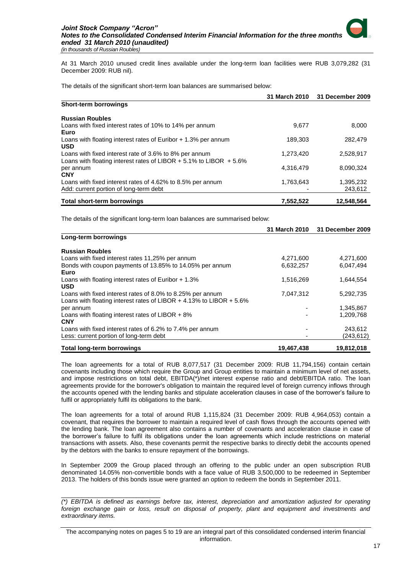At 31 March 2010 unused credit lines available under the long-term loan facilities were RUB 3,079,282 (31 December 2009: RUB nil).

The details of the significant short-term loan balances are summarised below:

|                                                                                                                                  | 31 March 2010 | 31 December 2009     |
|----------------------------------------------------------------------------------------------------------------------------------|---------------|----------------------|
| <b>Short-term borrowings</b>                                                                                                     |               |                      |
| <b>Russian Roubles</b>                                                                                                           |               |                      |
| Loans with fixed interest rates of 10% to 14% per annum<br>Euro                                                                  | 9,677         | 8,000                |
| Loans with floating interest rates of Euribor $+1.3\%$ per annum<br><b>USD</b>                                                   | 189.303       | 282,479              |
| Loans with fixed interest rate of 3.6% to 8% per annum<br>Loans with floating interest rates of LIBOR $+$ 5.1% to LIBOR $+$ 5.6% | 1,273,420     | 2,528,917            |
| per annum<br><b>CNY</b>                                                                                                          | 4,316,479     | 8,090,324            |
| Loans with fixed interest rates of 4.62% to 8.5% per annum<br>Add: current portion of long-term debt                             | 1,763,643     | 1,395,232<br>243,612 |
| <b>Total short-term borrowings</b>                                                                                               | 7,552,522     | 12,548,564           |

The details of the significant long-term loan balances are summarised below:

|                                                                                                                                   | 31 March 2010 | 31 December 2009 |
|-----------------------------------------------------------------------------------------------------------------------------------|---------------|------------------|
| Long-term borrowings                                                                                                              |               |                  |
| <b>Russian Roubles</b>                                                                                                            |               |                  |
| Loans with fixed interest rates 11,25% per annum                                                                                  | 4,271,600     | 4,271,600        |
| Bonds with coupon payments of 13.85% to 14.05% per annum<br>Euro                                                                  | 6,632,257     | 6,047,494        |
| Loans with floating interest rates of Euribor $+1.3\%$<br><b>USD</b>                                                              | 1,516,269     | 1.644.554        |
| Loans with fixed interest rates of 8.0% to 8.25% per annum<br>Loans with floating interest rates of LIBOR + 4.13% to LIBOR + 5.6% | 7,047,312     | 5,292,735        |
| per annum                                                                                                                         |               | 1,345,867        |
| Loans with floating interest rates of LIBOR $+8\%$<br><b>CNY</b>                                                                  |               | 1.209.768        |
| Loans with fixed interest rates of 6.2% to 7.4% per annum                                                                         |               | 243,612          |
| Less: current portion of long-term debt                                                                                           |               | (243, 612)       |
| <b>Total long-term borrowings</b>                                                                                                 | 19,467,438    | 19,812,018       |

The loan agreements for a total of RUB 8,077,517 (31 December 2009: RUB 11,794,156) contain certain covenants including those which require the Group and Group entities to maintain a minimum level of net assets, and impose restrictions on total debt, EBITDA(\*)/net interest expense ratio and debt/EBITDA ratio. The loan agreements provide for the borrower's obligation to maintain the required level of foreign currency inflows through the accounts opened with the lending banks and stipulate acceleration clauses in case of the borrower's failure to fulfil or appropriately fulfil its obligations to the bank.

The loan agreements for a total of around RUB 1,115,824 (31 December 2009: RUB 4,964,053) contain a covenant, that requires the borrower to maintain a required level of cash flows through the accounts opened with the lending bank. The loan agreement also contains a number of covenants and acceleration clause in case of the borrower's failure to fulfil its obligations under the loan agreements which include restrictions on material transactions with assets. Also, these covenants permit the respective banks to directly debit the accounts opened by the debtors with the banks to ensure repayment of the borrowings.

In September 2009 the Group placed through an offering to the public under an open subscription RUB denominated 14.05% non-convertible bonds with a face value of RUB 3,500,000 to be redeemed in September 2013. The holders of this bonds issue were granted an option to redeem the bonds in September 2011.

\_\_\_\_\_\_\_\_\_\_\_\_\_\_\_\_\_\_\_\_\_\_\_\_\_\_\_\_\_

*<sup>(\*)</sup> EBITDA is defined as earnings before tax, interest, depreciation and amortization adjusted for operating*  foreign exchange gain or loss, result on disposal of property, plant and equipment and investments and *extraordinary items.*

The accompanying notes on pages 5 to 19 are an integral part of this consolidated condensed interim financial information.